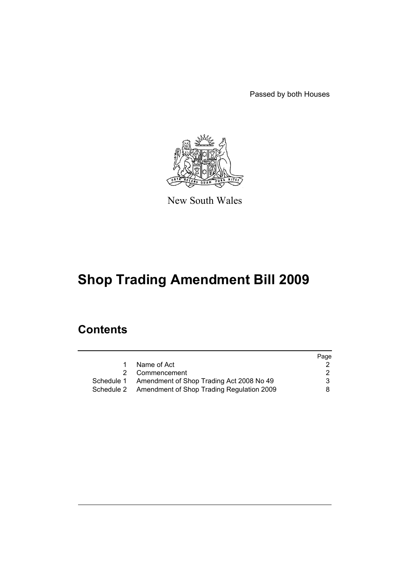Passed by both Houses



New South Wales

# **Shop Trading Amendment Bill 2009**

# **Contents**

| Page |
|------|
|      |
| 2    |
| 3    |
| 8    |
|      |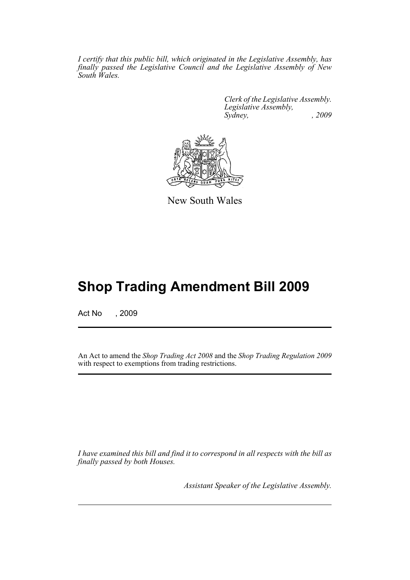*I certify that this public bill, which originated in the Legislative Assembly, has finally passed the Legislative Council and the Legislative Assembly of New South Wales.*

> *Clerk of the Legislative Assembly. Legislative Assembly, Sydney, , 2009*



New South Wales

# **Shop Trading Amendment Bill 2009**

Act No , 2009

An Act to amend the *Shop Trading Act 2008* and the *Shop Trading Regulation 2009* with respect to exemptions from trading restrictions.

*I have examined this bill and find it to correspond in all respects with the bill as finally passed by both Houses.*

*Assistant Speaker of the Legislative Assembly.*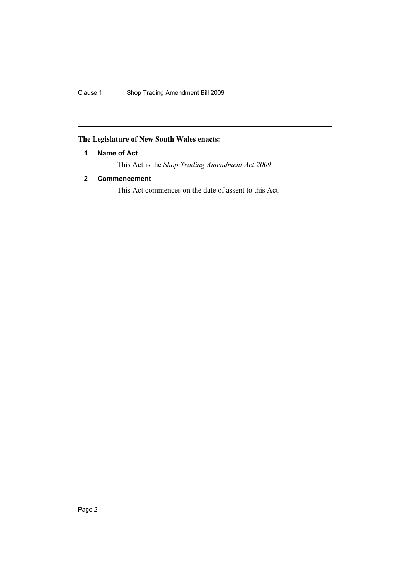## <span id="page-2-0"></span>**The Legislature of New South Wales enacts:**

## **1 Name of Act**

This Act is the *Shop Trading Amendment Act 2009*.

## <span id="page-2-1"></span>**2 Commencement**

This Act commences on the date of assent to this Act.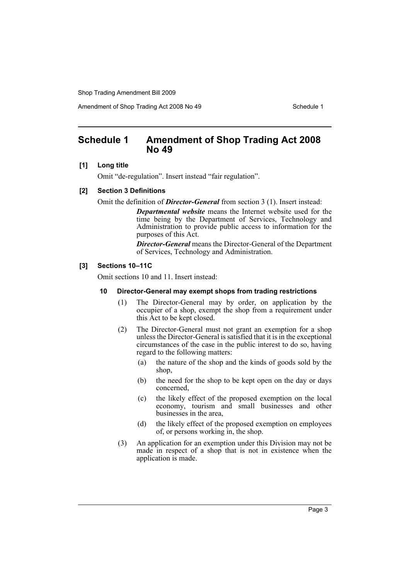Amendment of Shop Trading Act 2008 No 49 Schedule 1

## <span id="page-3-0"></span>**Schedule 1 Amendment of Shop Trading Act 2008 No 49**

#### **[1] Long title**

Omit "de-regulation". Insert instead "fair regulation".

#### **[2] Section 3 Definitions**

Omit the definition of *Director-General* from section 3 (1). Insert instead:

*Departmental website* means the Internet website used for the time being by the Department of Services, Technology and Administration to provide public access to information for the purposes of this Act.

*Director-General* means the Director-General of the Department of Services, Technology and Administration.

### **[3] Sections 10–11C**

Omit sections 10 and 11. Insert instead:

#### **10 Director-General may exempt shops from trading restrictions**

- (1) The Director-General may by order, on application by the occupier of a shop, exempt the shop from a requirement under this Act to be kept closed.
- (2) The Director-General must not grant an exemption for a shop unless the Director-General is satisfied that it is in the exceptional circumstances of the case in the public interest to do so, having regard to the following matters:
	- (a) the nature of the shop and the kinds of goods sold by the shop,
	- (b) the need for the shop to be kept open on the day or days concerned,
	- (c) the likely effect of the proposed exemption on the local economy, tourism and small businesses and other businesses in the area,
	- (d) the likely effect of the proposed exemption on employees of, or persons working in, the shop.
- (3) An application for an exemption under this Division may not be made in respect of a shop that is not in existence when the application is made.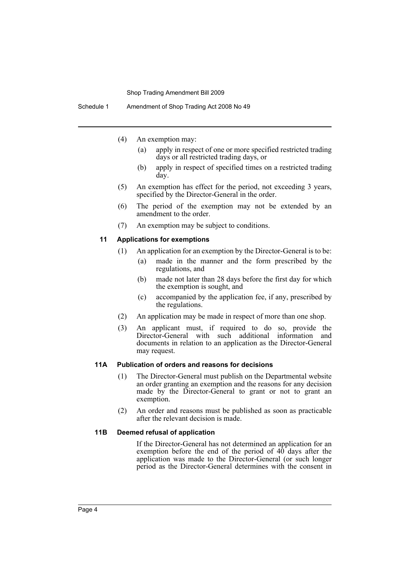- (4) An exemption may:
	- (a) apply in respect of one or more specified restricted trading days or all restricted trading days, or
	- (b) apply in respect of specified times on a restricted trading day.
- (5) An exemption has effect for the period, not exceeding 3 years, specified by the Director-General in the order.
- (6) The period of the exemption may not be extended by an amendment to the order.
- (7) An exemption may be subject to conditions.

#### **11 Applications for exemptions**

- (1) An application for an exemption by the Director-General is to be:
	- (a) made in the manner and the form prescribed by the regulations, and
	- (b) made not later than 28 days before the first day for which the exemption is sought, and
	- (c) accompanied by the application fee, if any, prescribed by the regulations.
- (2) An application may be made in respect of more than one shop.
- (3) An applicant must, if required to do so, provide the Director-General with such additional information and documents in relation to an application as the Director-General may request.

#### **11A Publication of orders and reasons for decisions**

- (1) The Director-General must publish on the Departmental website an order granting an exemption and the reasons for any decision made by the Director-General to grant or not to grant an exemption.
- (2) An order and reasons must be published as soon as practicable after the relevant decision is made.

#### **11B Deemed refusal of application**

If the Director-General has not determined an application for an exemption before the end of the period of  $40^{\degree}$  days after the application was made to the Director-General (or such longer period as the Director-General determines with the consent in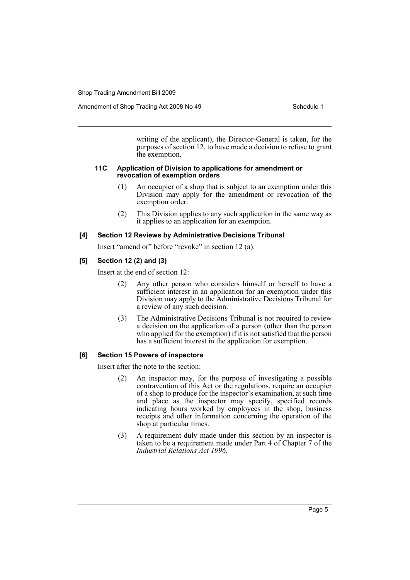writing of the applicant), the Director-General is taken, for the purposes of section 12, to have made a decision to refuse to grant the exemption.

#### **11C Application of Division to applications for amendment or revocation of exemption orders**

- (1) An occupier of a shop that is subject to an exemption under this Division may apply for the amendment or revocation of the exemption order.
- (2) This Division applies to any such application in the same way as it applies to an application for an exemption.

## **[4] Section 12 Reviews by Administrative Decisions Tribunal**

Insert "amend or" before "revoke" in section 12 (a).

## **[5] Section 12 (2) and (3)**

Insert at the end of section 12:

- (2) Any other person who considers himself or herself to have a sufficient interest in an application for an exemption under this Division may apply to the Administrative Decisions Tribunal for a review of any such decision.
- (3) The Administrative Decisions Tribunal is not required to review a decision on the application of a person (other than the person who applied for the exemption) if it is not satisfied that the person has a sufficient interest in the application for exemption.

## **[6] Section 15 Powers of inspectors**

Insert after the note to the section:

- (2) An inspector may, for the purpose of investigating a possible contravention of this Act or the regulations, require an occupier of a shop to produce for the inspector's examination, at such time and place as the inspector may specify, specified records indicating hours worked by employees in the shop, business receipts and other information concerning the operation of the shop at particular times.
- (3) A requirement duly made under this section by an inspector is taken to be a requirement made under Part 4 of Chapter 7 of the *Industrial Relations Act 1996*.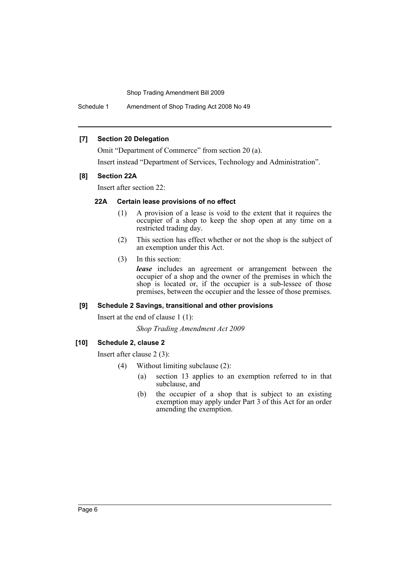Schedule 1 Amendment of Shop Trading Act 2008 No 49

### **[7] Section 20 Delegation**

Omit "Department of Commerce" from section 20 (a).

Insert instead "Department of Services, Technology and Administration".

### **[8] Section 22A**

Insert after section 22:

## **22A Certain lease provisions of no effect**

- (1) A provision of a lease is void to the extent that it requires the occupier of a shop to keep the shop open at any time on a restricted trading day.
- (2) This section has effect whether or not the shop is the subject of an exemption under this Act.
- (3) In this section:

*lease* includes an agreement or arrangement between the occupier of a shop and the owner of the premises in which the shop is located or, if the occupier is a sub-lessee of those premises, between the occupier and the lessee of those premises.

## **[9] Schedule 2 Savings, transitional and other provisions**

Insert at the end of clause 1 (1):

*Shop Trading Amendment Act 2009*

## **[10] Schedule 2, clause 2**

Insert after clause 2 (3):

- (4) Without limiting subclause (2):
	- (a) section 13 applies to an exemption referred to in that subclause, and
	- (b) the occupier of a shop that is subject to an existing exemption may apply under Part 3 of this Act for an order amending the exemption.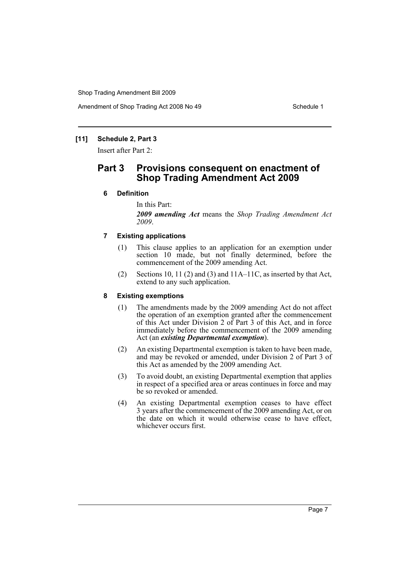## **[11] Schedule 2, Part 3**

Insert after Part 2:

# **Part 3 Provisions consequent on enactment of Shop Trading Amendment Act 2009**

## **6 Definition**

#### In this Part:

*2009 amending Act* means the *Shop Trading Amendment Act 2009*.

## **7 Existing applications**

- (1) This clause applies to an application for an exemption under section 10 made, but not finally determined, before the commencement of the 2009 amending Act.
- (2) Sections 10, 11 (2) and (3) and  $11A-11C$ , as inserted by that Act, extend to any such application.

#### **8 Existing exemptions**

- (1) The amendments made by the 2009 amending Act do not affect the operation of an exemption granted after the commencement of this Act under Division 2 of Part 3 of this Act, and in force immediately before the commencement of the 2009 amending Act (an *existing Departmental exemption*).
- (2) An existing Departmental exemption is taken to have been made, and may be revoked or amended, under Division 2 of Part 3 of this Act as amended by the 2009 amending Act.
- (3) To avoid doubt, an existing Departmental exemption that applies in respect of a specified area or areas continues in force and may be so revoked or amended.
- (4) An existing Departmental exemption ceases to have effect 3 years after the commencement of the 2009 amending Act, or on the date on which it would otherwise cease to have effect, whichever occurs first.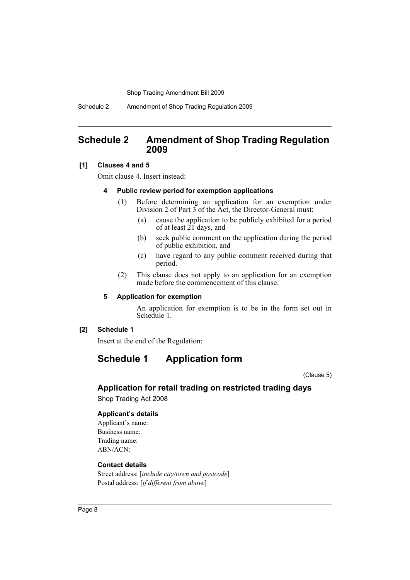Schedule 2 Amendment of Shop Trading Regulation 2009

## <span id="page-8-0"></span>**Schedule 2 Amendment of Shop Trading Regulation 2009**

#### **[1] Clauses 4 and 5**

Omit clause 4. Insert instead:

#### **4 Public review period for exemption applications**

- (1) Before determining an application for an exemption under Division 2 of Part 3 of the Act, the Director-General must:
	- (a) cause the application to be publicly exhibited for a period of at least  $2\overline{1}$  days, and
	- (b) seek public comment on the application during the period of public exhibition, and
	- (c) have regard to any public comment received during that period.
- (2) This clause does not apply to an application for an exemption made before the commencement of this clause.

#### **5 Application for exemption**

An application for exemption is to be in the form set out in Schedule 1.

## **[2] Schedule 1**

Insert at the end of the Regulation:

# **Schedule 1 Application form**

(Clause 5)

# **Application for retail trading on restricted trading days**

Shop Trading Act 2008

#### **Applicant's details**

Applicant's name: Business name: Trading name: ABN/ACN:

## **Contact details**

Street address: [*include city/town and postcode*] Postal address: [*if different from above*]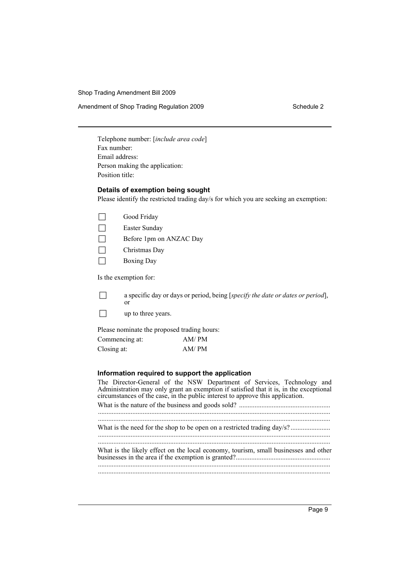Amendment of Shop Trading Regulation 2009 Schedule 2

Telephone number: [*include area code*] Fax number: Email address: Person making the application: Position title:

#### **Details of exemption being sought**

Please identify the restricted trading day/s for which you are seeking an exemption:

|  |  | Good Friday |
|--|--|-------------|
|--|--|-------------|

 $\Box$  Easter Sunday

- $\Box$  Before 1pm on ANZAC Day
- $\Box$  Christmas Day
- $\Box$  Boxing Day

Is the exemption for:

 $\Box$  a specific day or days or period, being [*specify the date or dates or period*], or

 $\neg$  up to three years.

Please nominate the proposed trading hours:

| Commencing at: | AM/PM |
|----------------|-------|
| Closing at:    | AM/PM |

#### **Information required to support the application**

The Director-General of the NSW Department of Services, Technology and Administration may only grant an exemption if satisfied that it is, in the exceptional circumstances of the case, in the public interest to approve this application. What is the nature of the business and goods sold? ..................................................... ....................................................................................................................................... ....................................................................................................................................... What is the need for the shop to be open on a restricted trading day/s? ....................... ....................................................................................................................................... ....................................................................................................................................... What is the likely effect on the local economy, tourism, small businesses and other businesses in the area if the exemption is granted?....................................................... ....................................................................................................................................... .......................................................................................................................................